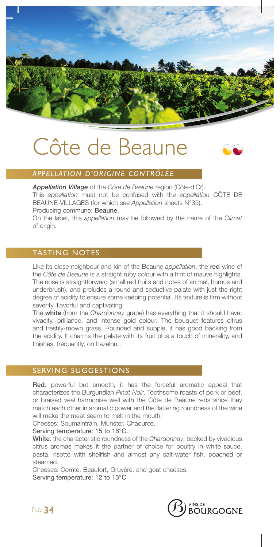

# Côte de Beaune



## *APPELLATION D'ORIGINE CONTRÔLÉE*

*Appellation Village* of the *Côte de Beaune* region (Côte-d'Or). This *appellation* must not be confused with the *appellation* CÔTE DE BEAUNE-VILLAGES (for which see *Appellation* sheets N°35). Producing commune: Beaune.

On the label, this *appellation* may be followed by the name of the *Climat* of origin.

# TASTING NOTES

Like its close neighbour and kin of the Beaune *appellation*, the red wine of the *Côte de Beaune* is a straight ruby colour with a hint of mauve highlights. The nose is straightforward (small red fruits and notes of animal, humus and underbrush), and preludes a round and seductive palate with just the right degree of acidity to ensure some keeping potential. Its texture is firm without severity, flavorful and captivating.

The white (from the *Chardonnay* grape) has everything that it should have: vivacity, brilliance, and intense gold colour. The bouquet features citrus and freshly-mown grass. Rounded and supple, it has good backing from the acidity. It charms the palate with its fruit plus a touch of minerality, and finishes, frequently, on hazelnut.

### SERVING SUGGESTIONS

Red: powerful but smooth, it has the forceful aromatic appeal that characterizes the Burgundian *Pinot Noir*. Toothsome roasts of pork or beef, or braised veal harmonise well with the Côte de Beaune reds since they match each other in aromatic power and the flattering roundness of the wine will make the meat seem to melt in the mouth.

Cheeses: Soumaintrain, Munster, Chaource.

Serving temperature: 15 to 16°C.

White: the characteristic roundness of the *Chardonnay*, backed by vivacious citrus aromas makes it the partner of choice for poultry in white sauce, pasta, risotto with shellfish and almost any salt-water fish, poached or steamed.

Cheeses: Comté, Beaufort, Gruyère, and goat cheeses. Serving temperature: 12 to 13°C